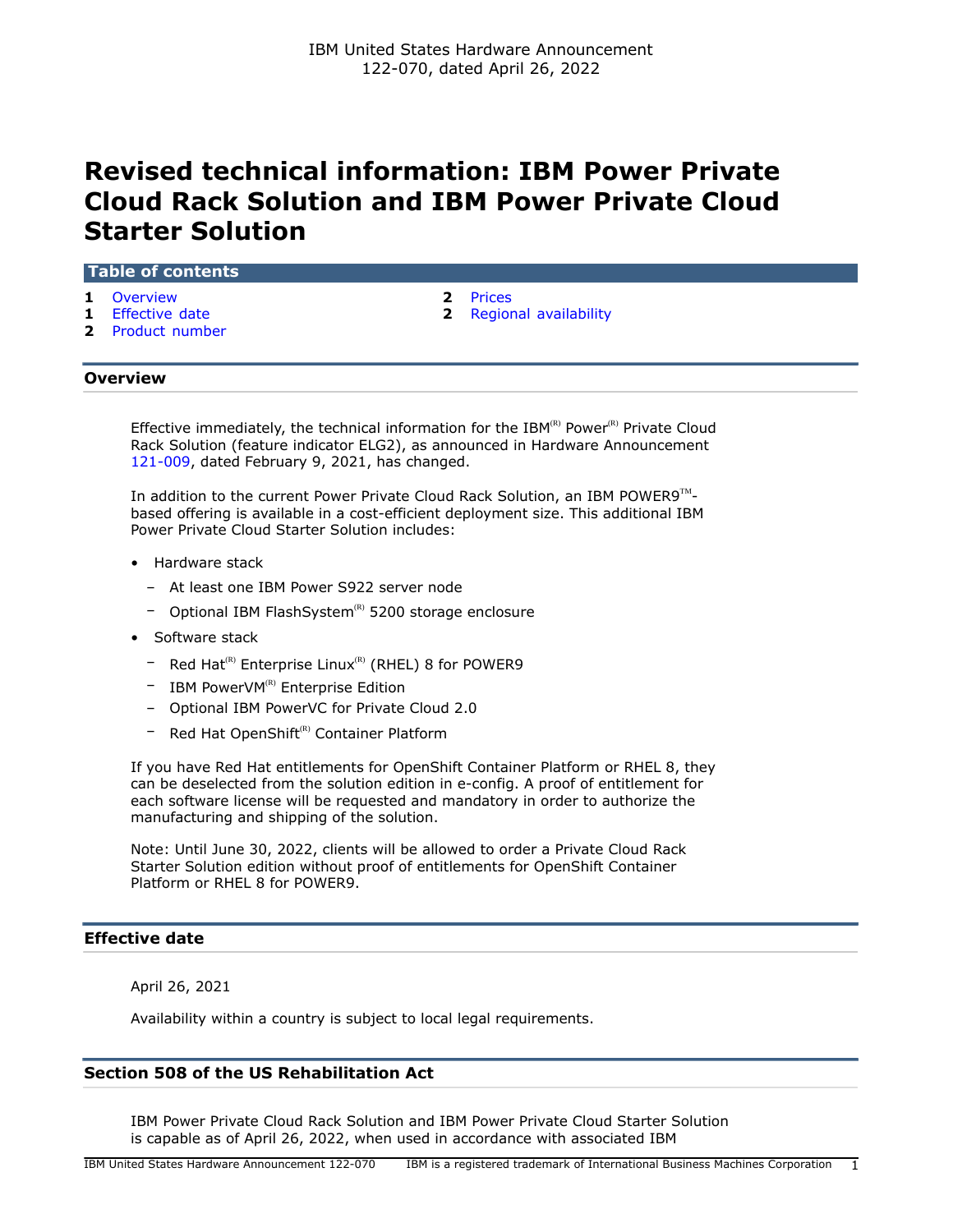# **Revised technical information: IBM Power Private Cloud Rack Solution and IBM Power Private Cloud Starter Solution**

#### **Table of contents**

- **1** [Overview](#page-0-0) **2** [Prices](#page-1-0)
- 
- **2** [Product number](#page-1-2)
- 
- **1** [Effective date](#page-0-1) **2** [Regional availability](#page-1-1)

## <span id="page-0-0"></span>**Overview**

Effective immediately, the technical information for the IBM(R) Power(R) Private Cloud Rack Solution (feature indicator ELG2), as announced in Hardware Announcement [121-009](http://www.ibm.com/common/ssi/cgi-bin/ssialias?infotype=an&subtype=ca&appname=gpateam&supplier=897&letternum=ENUS121-009), dated February 9, 2021, has changed.

In addition to the current Power Private Cloud Rack Solution, an IBM POWER9 $^{\text{TM}}$ based offering is available in a cost-efficient deployment size. This additional IBM Power Private Cloud Starter Solution includes:

- Hardware stack
	- At least one IBM Power S922 server node
	- $-$  Optional IBM FlashSystem<sup>(R)</sup> 5200 storage enclosure
- Software stack
	- $-$  Red Hat<sup>(R)</sup> Enterprise Linux<sup>(R)</sup> (RHEL) 8 for POWER9
	- $-$  IBM PowerVM<sup>(R)</sup> Enterprise Edition
	- Optional IBM PowerVC for Private Cloud 2.0
	- Red Hat OpenShift<sup>(R)</sup> Container Platform

If you have Red Hat entitlements for OpenShift Container Platform or RHEL 8, they can be deselected from the solution edition in e-config. A proof of entitlement for each software license will be requested and mandatory in order to authorize the manufacturing and shipping of the solution.

Note: Until June 30, 2022, clients will be allowed to order a Private Cloud Rack Starter Solution edition without proof of entitlements for OpenShift Container Platform or RHEL 8 for POWER9.

## <span id="page-0-1"></span>**Effective date**

April 26, 2021

Availability within a country is subject to local legal requirements.

## **Section 508 of the US Rehabilitation Act**

IBM Power Private Cloud Rack Solution and IBM Power Private Cloud Starter Solution is capable as of April 26, 2022, when used in accordance with associated IBM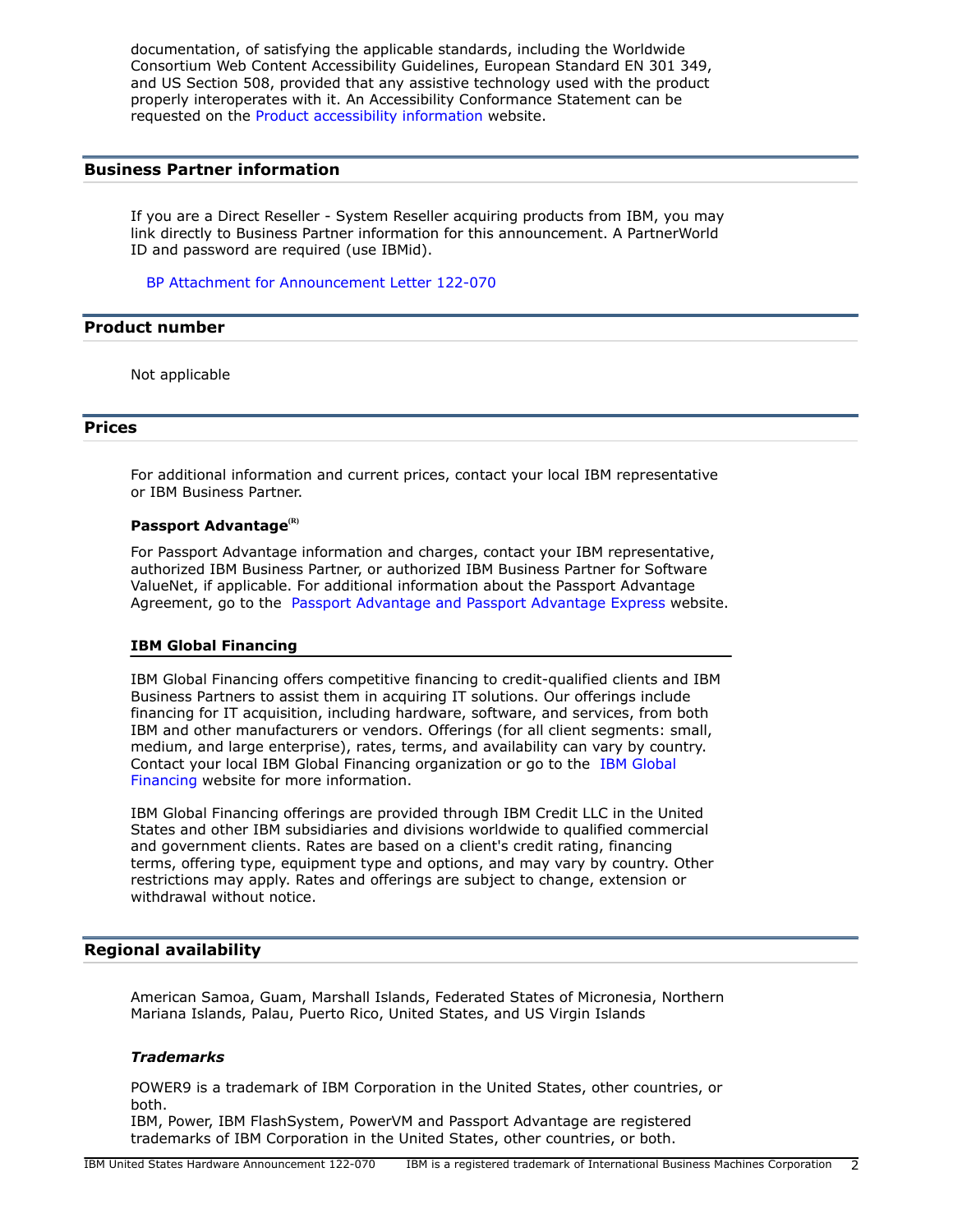documentation, of satisfying the applicable standards, including the Worldwide Consortium Web Content Accessibility Guidelines, European Standard EN 301 349, and US Section 508, provided that any assistive technology used with the product properly interoperates with it. An Accessibility Conformance Statement can be requested on the [Product accessibility information](http://www.ibm.com/able/product_accessibility/index.html) website.

### **Business Partner information**

If you are a Direct Reseller - System Reseller acquiring products from IBM, you may link directly to Business Partner information for this announcement. A PartnerWorld ID and password are required (use IBMid).

[BP Attachment for Announcement Letter 122-070](https://www.ibm.com/partnerworld/mem/sla.jsp?num=122-070)

#### <span id="page-1-2"></span>**Product number**

Not applicable

#### <span id="page-1-0"></span>**Prices**

For additional information and current prices, contact your local IBM representative or IBM Business Partner.

#### **Passport Advantage(R)**

For Passport Advantage information and charges, contact your IBM representative, authorized IBM Business Partner, or authorized IBM Business Partner for Software ValueNet, if applicable. For additional information about the Passport Advantage Agreement, go to the [Passport Advantage and Passport Advantage Express](http://www.ibm.com/software/passportadvantage) website.

#### **IBM Global Financing**

IBM Global Financing offers competitive financing to credit-qualified clients and IBM Business Partners to assist them in acquiring IT solutions. Our offerings include financing for IT acquisition, including hardware, software, and services, from both IBM and other manufacturers or vendors. Offerings (for all client segments: small, medium, and large enterprise), rates, terms, and availability can vary by country. Contact your local IBM Global Financing organization or go to the [IBM Global](http://www.ibm.com/financing) [Financing](http://www.ibm.com/financing) website for more information.

IBM Global Financing offerings are provided through IBM Credit LLC in the United States and other IBM subsidiaries and divisions worldwide to qualified commercial and government clients. Rates are based on a client's credit rating, financing terms, offering type, equipment type and options, and may vary by country. Other restrictions may apply. Rates and offerings are subject to change, extension or withdrawal without notice.

## <span id="page-1-1"></span>**Regional availability**

American Samoa, Guam, Marshall Islands, Federated States of Micronesia, Northern Mariana Islands, Palau, Puerto Rico, United States, and US Virgin Islands

#### *Trademarks*

POWER9 is a trademark of IBM Corporation in the United States, other countries, or both.

IBM, Power, IBM FlashSystem, PowerVM and Passport Advantage are registered trademarks of IBM Corporation in the United States, other countries, or both.